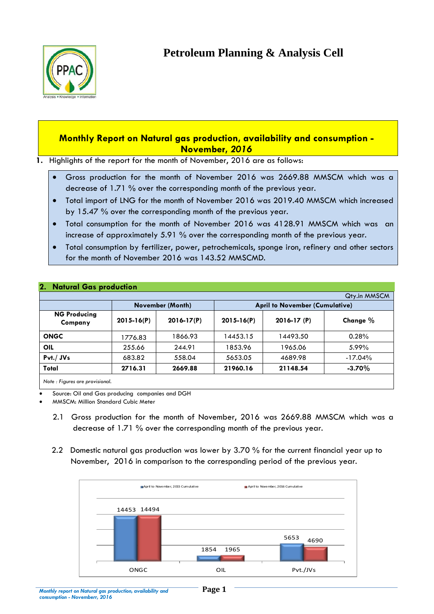

# **Monthly Report on Natural gas production, availability and consumption - November,** *2016*

**1.** Highlights of the report for the month of November, 2016 are as follows:

- Gross production for the month of November 2016 was 2669.88 MMSCM which was a decrease of 1.71 % over the corresponding month of the previous year.
- Total import of LNG for the month of November 2016 was 2019.40 MMSCM which increased by 15.47 % over the corresponding month of the previous year.
- Total consumption for the month of November 2016 was 4128.91 MMSCM which was an increase of approximately 5.91 % over the corresponding month of the previous year.
- Total consumption by fertilizer, power, petrochemicals, sponge iron, refinery and other sectors for the month of November 2016 was 143.52 MMSCMD.

|                                |                |                  |                                       |             | Qty.in MMSCM |
|--------------------------------|----------------|------------------|---------------------------------------|-------------|--------------|
| <b>NG Producing</b><br>Company |                | November (Month) | <b>April to November (Cumulative)</b> |             |              |
|                                | $2015 - 16(P)$ | $2016 - 17(P)$   | $2015 - 16(P)$                        | 2016-17 (P) | Change %     |
| <b>ONGC</b>                    | 1776.83        | 1866.93          | 14453.15                              | 14493.50    | 0.28%        |
| <b>OIL</b>                     | 255.66         | 244.91           | 1853.96                               | 1965.06     | 5.99%        |
| $Pvt./$ JVs                    | 683.82         | 558.04           | 5653.05                               | 4689.98     | $-17.04\%$   |
| Total                          | 2716.31        | 2669.88          | 21960.16                              | 21148.54    | $-3.70\%$    |

### **2. Natural Gas production**

Source: Oil and Gas producing companies and DGH

MMSCM: Million Standard Cubic Meter

- 2.1 Gross production for the month of November, 2016 was 2669.88 MMSCM which was a decrease of 1.71 % over the corresponding month of the previous year.
- 2.2 Domestic natural gas production was lower by 3.70 % for the current financial year up to November, 2016 in comparison to the corresponding period of the previous year.

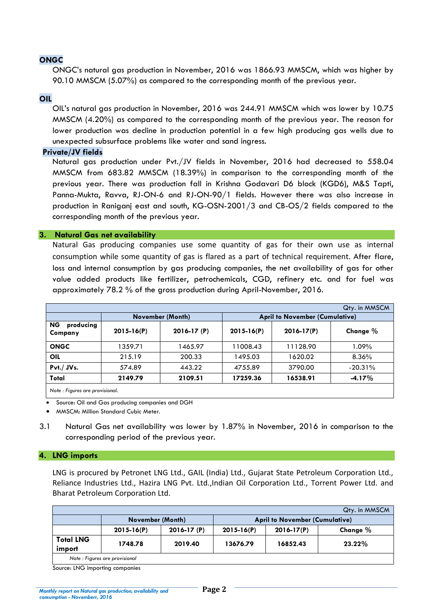## **ONGC**

ONGC's natural gas production in November, 2016 was 1866.93 MMSCM, which was higher by 90.10 MMSCM (5.07%) as compared to the corresponding month of the previous year.

#### **OIL**

OIL's natural gas production in November, 2016 was 244.91 MMSCM which was lower by 10.75 MMSCM (4.20%) as compared to the corresponding month of the previous year. The reason for lower production was decline in production potential in a few high producing gas wells due to unexpected subsurface problems like water and sand ingress.

#### **Private/JV fields**

Natural gas production under Pvt./JV fields in November, 2016 had decreased to 558.04 MMSCM from 683.82 MMSCM (18.39%) in comparison to the corresponding month of the previous year. There was production fall in Krishna Godavari D6 block (KGD6), M&S Tapti, Panna-Mukta, Ravva, RJ-ON-6 and RJ-ON-90/1 fields. However there was also increase in production in Raniganj east and south, KG-OSN-2001/3 and CB-OS/2 fields compared to the corresponding month of the previous year.

#### **3. Natural Gas net availability**

Natural Gas producing companies use some quantity of gas for their own use as internal consumption while some quantity of gas is flared as a part of technical requirement. After flare, loss and internal consumption by gas producing companies, the net availability of gas for other value added products like fertilizer, petrochemicals, CGD, refinery etc. and for fuel was approximately 78.2 % of the gross production during April-November, 2016.

|                                   |                |                  |                |                                       | Qty. in MMSCM |  |  |
|-----------------------------------|----------------|------------------|----------------|---------------------------------------|---------------|--|--|
|                                   |                | November (Month) |                | <b>April to November (Cumulative)</b> |               |  |  |
| <b>NG</b><br>producing<br>Company | $2015 - 16(P)$ | $2016 - 17(P)$   | $2015 - 16(P)$ | $2016 - 17(P)$                        | Change $%$    |  |  |
| <b>ONGC</b>                       | 1359.71        | 1465.97          | 1008.43        | 11128.90                              | 1.09%         |  |  |
| OIL                               | 215.19         | 200.33           | 1495.03        | 1620.02                               | 8.36%         |  |  |
| Pvt./JVs.                         | 574.89         | 443.22           | 4755.89        | 3790.00                               | $-20.31%$     |  |  |
| Total                             | 2149.79        | 2109.51          | 17259.36       | 16538.91                              | $-4.17%$      |  |  |

*Note : Figures are provisional.*

Source: Oil and Gas producing companies and DGH

MMSCM: Million Standard Cubic Meter.

3.1 Natural Gas net availability was lower by 1.87% in November, 2016 in comparison to the corresponding period of the previous year.

#### **4. LNG imports**

LNG is procured by Petronet LNG Ltd., GAIL (India) Ltd., Gujarat State Petroleum Corporation Ltd., Reliance Industries Ltd., Hazira LNG Pvt. Ltd.,Indian Oil Corporation Ltd., Torrent Power Ltd. and Bharat Petroleum Corporation Ltd.

|                            |                  |                |                |                                       | Qty. in MMSCM |
|----------------------------|------------------|----------------|----------------|---------------------------------------|---------------|
|                            | November (Month) |                |                | <b>April to November (Cumulative)</b> |               |
|                            | $2015 - 16(P)$   | $2016 - 17(P)$ | $2015 - 16(P)$ | $2016 - 17(P)$                        | Change %      |
| <b>Total LNG</b><br>import | 1748.78          | 2019.40        | 13676.79       | 16852.43                              | $23.22\%$     |
|                            | $\cdot$ $\cdot$  |                |                |                                       |               |

*Note : Figures are provisional*

Source: LNG importing companies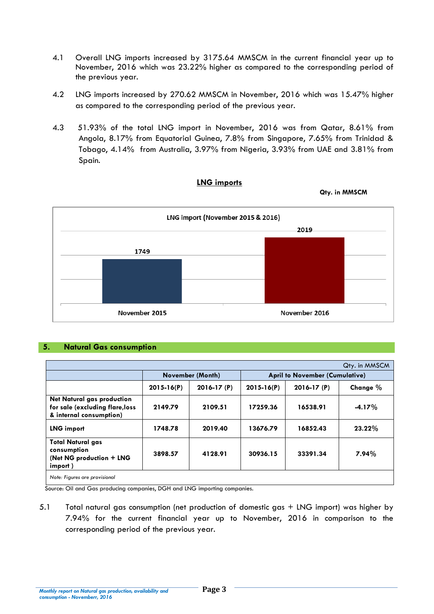- 4.1 Overall LNG imports increased by 3175.64 MMSCM in the current financial year up to November, 2016 which was 23.22% higher as compared to the corresponding period of the previous year.
- 4.2 LNG imports increased by 270.62 MMSCM in November, 2016 which was 15.47% higher as compared to the corresponding period of the previous year.
- 4.3 51.93% of the total LNG import in November, 2016 was from Qatar, 8.61% from Angola, 8.17% from Equatorial Guinea, 7.8% from Singapore, 7.65% from Trinidad & Tobago, 4.14% from Australia, 3.97% from Nigeria, 3.93% from UAE and 3.81% from Spain.



# **LNG imports**

#### **5. Natural Gas consumption**

|                                                                                                 |                  |                |                |                                       | Qty. in MMSCM |  |
|-------------------------------------------------------------------------------------------------|------------------|----------------|----------------|---------------------------------------|---------------|--|
|                                                                                                 | November (Month) |                |                | <b>April to November (Cumulative)</b> |               |  |
|                                                                                                 | $2015 - 16(P)$   | $2016 - 17(P)$ | $2015 - 16(P)$ | $2016 - 17(P)$                        | Change %      |  |
| <b>Net Natural gas production</b><br>for sale (excluding flare, loss<br>& internal consumption) | 2149.79          | 2109.51        | 17259.36       | 16538.91                              | $-4.17%$      |  |
| <b>LNG import</b>                                                                               | 1748.78          | 2019.40        | 13676.79       | 16852.43                              | $23.22\%$     |  |
| <b>Total Natural gas</b><br>consumption<br>(Net NG production + LNG<br>import)                  | 3898.57          | 4128.91        | 30936.15       | 33391.34                              | $7.94\%$      |  |
| Note: Figures are provisional                                                                   |                  |                |                |                                       |               |  |

Source: Oil and Gas producing companies, DGH and LNG importing companies.

5.1 Total natural gas consumption (net production of domestic gas + LNG import) was higher by 7.94% for the current financial year up to November, 2016 in comparison to the corresponding period of the previous year.